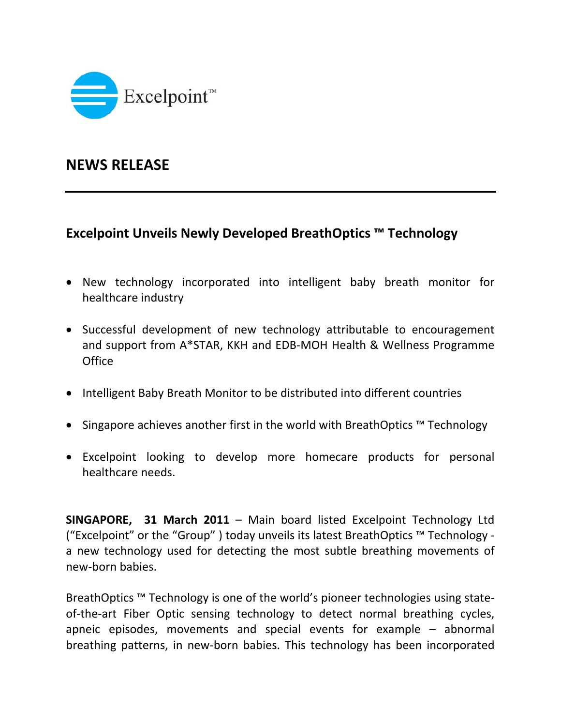

## **NEWS RELEASE**

## **Excelpoint Unveils Newly Developed BreathOptics ™ Technology**

- New technology incorporated into intelligent baby breath monitor for healthcare industry
- Successful development of new technology attributable to encouragement and support from A\*STAR, KKH and EDB‐MOH Health & Wellness Programme **Office**
- Intelligent Baby Breath Monitor to be distributed into different countries
- Singapore achieves another first in the world with BreathOptics ™ Technology
- Excelpoint looking to develop more homecare products for personal healthcare needs.

**SINGAPORE, 31 March 2011** – Main board listed Excelpoint Technology Ltd ("Excelpoint" or the "Group" ) today unveils its latest BreathOptics ™ Technology ‐ a new technology used for detecting the most subtle breathing movements of new‐born babies.

BreathOptics ™ Technology is one of the world's pioneer technologies using state‐ of-the-art Fiber Optic sensing technology to detect normal breathing cycles, apneic episodes, movements and special events for example – abnormal breathing patterns, in new‐born babies. This technology has been incorporated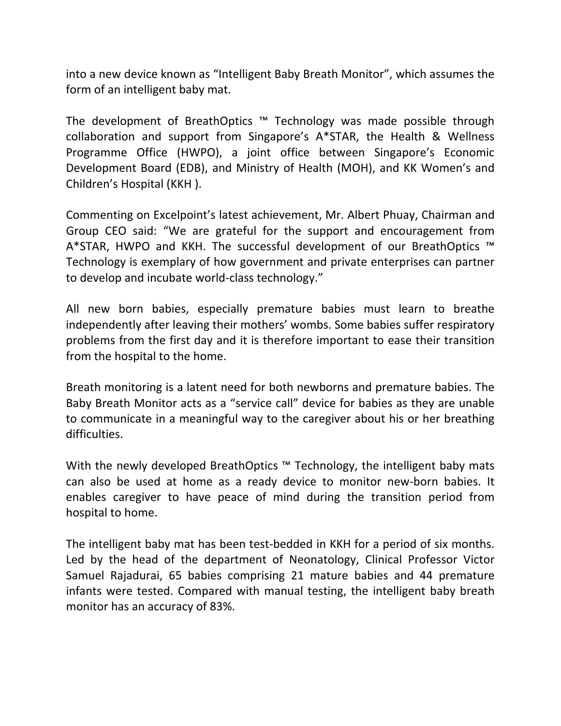into a new device known as "Intelligent Baby Breath Monitor", which assumes the form of an intelligent baby mat.

The development of BreathOptics ™ Technology was made possible through collaboration and support from Singapore's A\*STAR, the Health & Wellness Programme Office (HWPO), a joint office between Singapore's Economic Development Board (EDB), and Ministry of Health (MOH), and KK Women's and Children's Hospital (KKH ).

Commenting on Excelpoint's latest achievement, Mr. Albert Phuay, Chairman and Group CEO said: "We are grateful for the support and encouragement from A\*STAR, HWPO and KKH. The successful development of our BreathOptics ™ Technology is exemplary of how government and private enterprises can partner to develop and incubate world‐class technology."

All new born babies, especially premature babies must learn to breathe independently after leaving their mothers' wombs. Some babies suffer respiratory problems from the first day and it is therefore important to ease their transition from the hospital to the home.

Breath monitoring is a latent need for both newborns and premature babies. The Baby Breath Monitor acts as a "service call" device for babies as they are unable to communicate in a meaningful way to the caregiver about his or her breathing difficulties.

With the newly developed BreathOptics ™ Technology, the intelligent baby mats can also be used at home as a ready device to monitor new‐born babies. It enables caregiver to have peace of mind during the transition period from hospital to home.

The intelligent baby mat has been test-bedded in KKH for a period of six months. Led by the head of the department of Neonatology, Clinical Professor Victor Samuel Rajadurai, 65 babies comprising 21 mature babies and 44 premature infants were tested. Compared with manual testing, the intelligent baby breath monitor has an accuracy of 83%.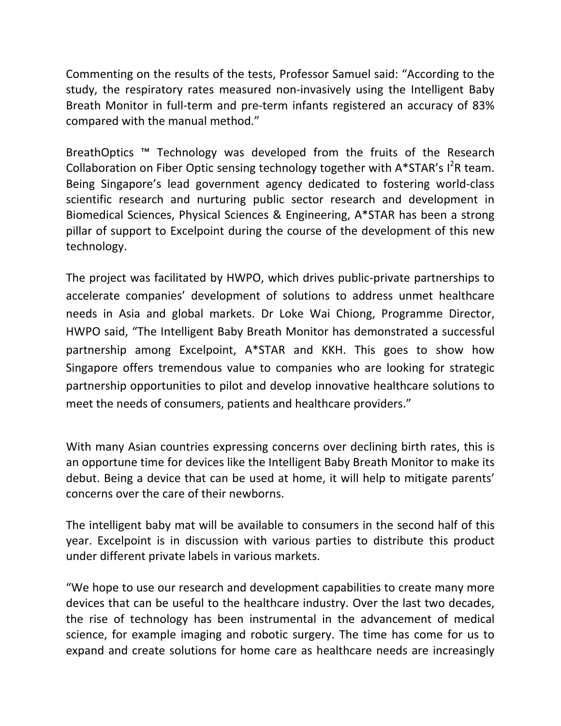Commenting on the results of the tests, Professor Samuel said: "According to the study, the respiratory rates measured non-invasively using the Intelligent Baby Breath Monitor in full-term and pre-term infants registered an accuracy of 83% compared with the manual method."

BreathOptics ™ Technology was developed from the fruits of the Research Collaboration on Fiber Optic sensing technology together with  $A*STAR's I<sup>2</sup>R$  team. Being Singapore's lead government agency dedicated to fostering world‐class scientific research and nurturing public sector research and development in Biomedical Sciences, Physical Sciences & Engineering, A\*STAR has been a strong pillar of support to Excelpoint during the course of the development of this new technology.

The project was facilitated by HWPO, which drives public‐private partnerships to accelerate companies' development of solutions to address unmet healthcare needs in Asia and global markets. Dr Loke Wai Chiong, Programme Director, HWPO said, "The Intelligent Baby Breath Monitor has demonstrated a successful partnership among Excelpoint, A\*STAR and KKH. This goes to show how Singapore offers tremendous value to companies who are looking for strategic partnership opportunities to pilot and develop innovative healthcare solutions to meet the needs of consumers, patients and healthcare providers."

With many Asian countries expressing concerns over declining birth rates, this is an opportune time for devices like the Intelligent Baby Breath Monitor to make its debut. Being a device that can be used at home, it will help to mitigate parents' concerns over the care of their newborns.

The intelligent baby mat will be available to consumers in the second half of this year. Excelpoint is in discussion with various parties to distribute this product under different private labels in various markets.

"We hope to use our research and development capabilities to create many more devices that can be useful to the healthcare industry. Over the last two decades, the rise of technology has been instrumental in the advancement of medical science, for example imaging and robotic surgery. The time has come for us to expand and create solutions for home care as healthcare needs are increasingly